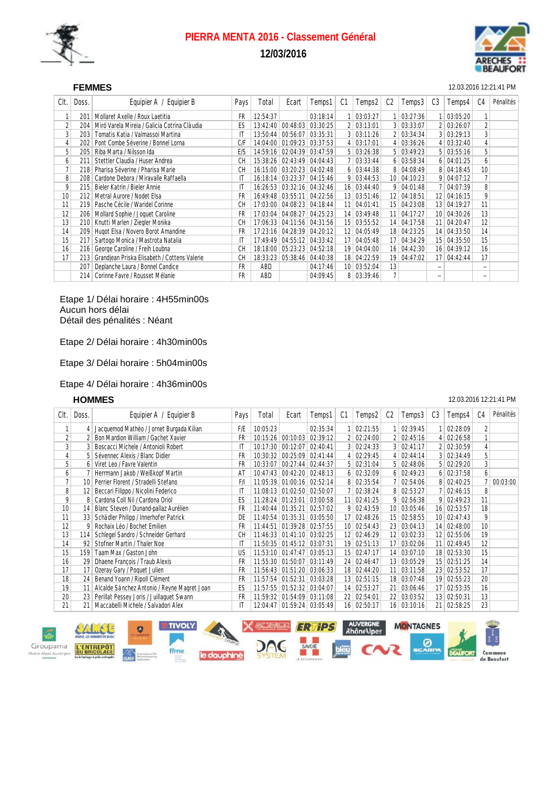

# **PIERRA MENTA 2016 - Classement Général 12/03/2016**



### SEF **FEMMES** 12.03.2016 12:21:41 PM

| Clt.            | Doss. | Equipier B<br>Equipier A /                   | Pays      | Total    | Ecart             | Temps1              | C1              | Temps2            | C <sub>2</sub>  | Temps3            | C <sub>3</sub> | Temps4       | C4                       | Pénalités |
|-----------------|-------|----------------------------------------------|-----------|----------|-------------------|---------------------|-----------------|-------------------|-----------------|-------------------|----------------|--------------|--------------------------|-----------|
|                 | 201   | Mollaret Axelle / Roux Laetitia              | FR        | 12:54:37 |                   | 03:18:14            |                 | 03:03:27          |                 | 03:27:36          |                | 1   03:05:20 |                          |           |
| 2               | 204   | Miró Varela Mireia / Galicia Cotrina Clàudia | ES        | 13:42:40 | 00:48:03          | 03:30:25            | 2               | 03:13:01          |                 | 3   03:33:07      |                | 2   03:26:07 | $\overline{2}$           |           |
| $\overline{3}$  | 203   | Tomatis Katia / Valmassoi Martina            | IT        | 13:50:44 | 00:56:07          | 03:35:31            | $\mathbf{3}$    | 03:11:26          |                 | 2 03:34:34        |                | 3 03:29:13   | 3                        |           |
| 4               | 202   | Pont Combe Séverine / Bonnel Lorna           | C/F       | 14:04:00 | 01:09:23          | 03:37:53            | $\vert$         | 03:17:01          |                 | 4   03:36:26      |                | 4   03:32:40 | 4                        |           |
| 5               | 205   | Riba Marta / Nilsson Ida                     | E/S       | 14:59:16 | 02:04:39          | 03:47:59            | 5 <sup>1</sup>  | 03:26:38          |                 | $5 \mid 03:49:23$ |                | 5   03:55:16 | 5                        |           |
| 6               | 211   | Stettler Claudia / Huser Andrea              | <b>CH</b> | 15:38:26 | 02:43:49          | 04:04:43            |                 | 03:33:44          |                 | $6 \mid 03:58:34$ |                | 6 04:01:25   | 6                        |           |
| 7               | 218   | Pharisa Séverine / Pharisa Marie             | СH        | 16:15:00 |                   | 03:20:23 04:02:48   |                 | $6$ 03:44:38      |                 | 8 04:08:49        |                | 8 04:18:45   | 10                       |           |
| 8               | 208   | Cardone Debora / Miravalle Raffaella         | IT        | 16:18:14 |                   | $03:23:37$ 04:15:46 |                 | $9 \mid 03:44:53$ |                 | 10 04:10:23       |                | 9 04:07:12   | 7                        |           |
| 9               | 215   | Bieler Katrin / Bieler Annie                 | IT        | 16:26:53 | 03:32:16 04:32:46 |                     | 16 <sup>1</sup> | 03:44:40          |                 | 9   04:01:48      |                | 7 04:07:39   | 8                        |           |
| 10              | 212   | Metral Aurore / Nodet Elsa                   | FR        | 16:49:48 | 03:55:11          | 04:22:56            | 13 <sup>1</sup> | 03:51:46          |                 | 12 04:18:51       |                | 12 04:16:15  | 9                        |           |
| 11              | 219   | Pasche Cécile / Waridel Corinne              | СH        | 17:03:00 |                   | 04:08:23 04:18:44   | 11              | 04:01:41          |                 | 15 04:23:08       |                | 13 04:19:27  | 11                       |           |
| 12              | 206   | Mollard Sophie / Joquet Caroline             | FR        | 17:03:04 | 04:08:27 04:25:23 |                     | 14              | 03:49:48          | 11 <sup>1</sup> | 04:17:27          |                | 10 04:30:26  | 13                       |           |
| 13              | 210   | Knutti Marlen / Ziegler Monika               | СH        | 17:06:33 | 04:11:56          | 04:31:56            | 15              | 03:55:52          | 14 <sup>1</sup> | 04:17:58          |                | 11 04:20:47  | 12                       |           |
| 14              | 209   | Hugot Elsa / Novero Borot Amandine           | FR        | 17:23:16 | 04:28:39          | 04:20:12            | 12              | 04:05:49          |                 | 18 04:23:25       |                | 14 04:33:50  | 14                       |           |
| 15              | 217   | Sartogo Monica / Mastrota Natalia            | IT        | 17:49:49 | 04:55:12          | 04:33:42            | 17              | 04:05:48          | 17 <sup>1</sup> | 04:34:29          |                | 15 04:35:50  | 15                       |           |
| 16 <sub>1</sub> | 216   | George Caroline / Freih Loubna               | СH        | 18:18:00 |                   | 05:23:23 04:52:18   | 19              | 04:04:00          |                 | 16 04:42:30       |                | 16 04:39:12  | 16                       |           |
| 17              | 213   | Grandiean Priska Elisabeth / Cottens Valerie | СH        | 18:33:23 | 05:38:46          | 04:40:38            | 18              | 04:22:59          |                 | 19 04:47:02       |                | 17 04:42:44  | 17                       |           |
|                 | 207   | Deplanche Laura / Bonnel Candice             | <b>FR</b> | ABD      |                   | 04:17:46            | 10 <sup>1</sup> | 03:52:04          | 13              |                   | --             |              | $\overline{\phantom{a}}$ |           |
|                 | 214   | Corinne Favre / Rousset Mélanie              | <b>FR</b> | ABD      |                   | 04:09:45            | 8               | 03:39:46          |                 |                   | ۰.             |              | $\overline{\phantom{a}}$ |           |

Etape 1/ Délai horaire : 4H55min00s Aucun hors délai Détail des pénalités : Néant

Etape 2/ Délai horaire : 4h30min00s

Etape 3/ Délai horaire : 5h04min00s

### Etape 4/ Délai horaire : 4h36min00s

### SEH **HOMMES** 12.03.2016 12:21:41 PM

| Clt.           | Doss.           | Equipier A / Equipier B                     | Pays | Total    | Ecart                      | Temps1              | C1              | Temps2       | C <sub>2</sub>  | Temps3            | C <sub>3</sub> | Temps4            | C4 | Pénalités |
|----------------|-----------------|---------------------------------------------|------|----------|----------------------------|---------------------|-----------------|--------------|-----------------|-------------------|----------------|-------------------|----|-----------|
|                |                 | Jacquemod Mathèo / Jornet Burgada Kilian    | F/E  | 10:05:23 |                            | 02:35:34            |                 | 02:21:55     |                 | 02:39:45          |                | 02:28:09          | 2  |           |
| $\overline{2}$ |                 | Bon Mardion William / Gachet Xavier         | FR   | 10:15:26 | 00:10:03                   | 02:39:12            |                 | 02:24:00     | $\overline{2}$  | 02:45:16          |                | 4 02:26:58        |    |           |
| 3              |                 | Boscacci Michele / Antonioli Robert         | IT   | 10:17:30 |                            | 00:12:07 02:40:41   |                 | 3   02:24:33 |                 | 3   02:41:17      |                | 2 02:30:59        | 4  |           |
| 4              |                 | Sévennec Alexis / Blanc Didier              | FR   | 10:30:32 |                            | $00:25:09$ 02:41:44 |                 | 4   02:29:45 |                 | 4   02:44:14      |                | 3 02:34:49        | 5  |           |
| 5              | 6               | Viret Leo / Favre Valentin                  | FR   | 10:33:07 |                            | $00:27:44$ 02:44:37 |                 | 5   02:31:04 |                 | 5   02:48:06      |                | $5 \mid 02:29:20$ | 3  |           |
| 6              |                 | Herrmann Jakob / Weißkopf Martin            | AT   | 10:47:43 |                            | $00:42:20$ 02:48:13 |                 | 6 02:32:09   |                 | $6 \mid 02:49:23$ |                | 6 02:37:58        | 6  |           |
| 7              | 10              | Perrier Florent / Stradelli Stefano         | F/I  | 11:05:39 |                            | $01:00:16$ 02:52:14 | 8               | 02:35:54     |                 | 02:54:06          |                | 8 02:40:25        |    | 00:03:00  |
| 8              | 12              | Beccari Filippo / Nicolini Federico         | IT   | 11:08:13 | $01:02:50$ 02:50:07        |                     |                 | 02:38:24     |                 | 8 02:53:27        |                | 7 02:46:15        | 8  |           |
| 9              | 8               | Cardona Coll Nil / Cardona Oriol            | ES   | 11:28:24 | $01:23:01$ 03:00:58        |                     | 11              | 02:41:25     | 9               | 02:56:38          |                | $9 \mid 02:49:23$ | 11 |           |
| 10             | 14              | Blanc Steven / Dunand-pallaz Aurélien       | FR   | 11:40:44 | 01:35:21                   | 02:57:02            | 9               | 02:43:59     |                 | 10 03:05:46       |                | 16 02:53:57       | 18 |           |
| 11             | 33 <sup>1</sup> | Schädler Philipp / Innerhofer Patrick       | DE   | 11:40:54 | 01:35:31                   | 03:05:50            | 17              | 02:48:26     | 15              | 02:58:55          |                | 10 02:47:43       | 9  |           |
| 12             | 9               | Rochaix Léo / Bochet Emilien                | FR   | 11:44:51 |                            | 01:39:28 02:57:55   | 10 <sup>1</sup> | 02:54:43     |                 | 23 03:04:13       |                | 14 02:48:00       | 10 |           |
| 13             | 114             | Schlegel Sandro / Schneider Gerhard         | СH   | 11:46:33 | 01:41:10                   | 03:02:25            | 12              | 02:46:29     | 12              | 03:02:33          |                | 12 02:55:06       | 19 |           |
| 14             | 92              | Stofner Martin / Thaler Noe                 | IT   |          | 11:50:35 01:45:12 03:07:31 |                     | 19              | 02:51:13     | 17              | 03:02:06          |                | 11 02:49:45       | 12 |           |
| 15             | 159             | Taam Max / Gaston John                      | US   |          | 11:53:10 01:47:47 03:05:13 |                     |                 | 15 02:47:17  | 14              | 03:07:10          |                | 18 02:53:30       | 15 |           |
| 16             | 29              | Dhaene François / Traub Alexis              | FR   | 11:55:30 | 01:50:07                   | 03:11:49            | 24              | 02:46:47     | 13 <sup>1</sup> | 03:05:29          |                | 15 02:51:25       | 14 |           |
| 17             | 17              | Ozeray Gary / Poquet Julien                 | FR   |          | 11:56:43 01:51:20 03:06:33 |                     |                 | 18 02:44:20  | 11              | 03:11:58          |                | 23 02:53:52       | 17 |           |
| 18             | 24 <sup>1</sup> | Benand Yoann / Ripoll Clément               | FR   |          | 11:57:54 01:52:31 03:03:28 |                     | 13 <sup>1</sup> | 02:51:15     |                 | 18 03:07:48       |                | 19 02:55:23       | 20 |           |
| 19             | 11              | Alcalde Sánchez Antonio / Reyne Magret Joan | ES   | 11:57:55 | 01:52:32                   | 03:04:07            | 14              | 02:53:27     | 21              | 03:06:46          |                | 17 02:53:35       | 16 |           |
| 20             | 23              | Perillat Pessey Joris / Juillaquet Swann    | FR   | 11:59:32 | 01:54:09                   | 03:11:08            | 22              | 02:54:01     | 22              | 03:03:52          |                | 13 02:50:31       | 13 |           |
| 21             | 21              | Maccabelli Michele / Salvadori Alex         | IT   | 12:04:47 | 01:59:24                   | 03:05:49            | 16 <sup>1</sup> | 02:50:17     |                 | $16$ 03:10:16     |                | 21 02:58:25       | 23 |           |

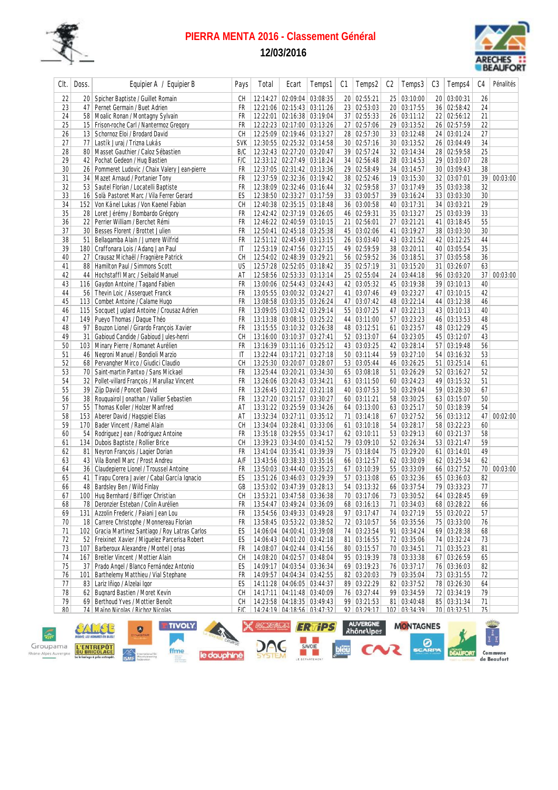

# **PIERRA MENTA 2016 - Classement Général**

**12/03/2016**



| Clt.      | Doss.           | Equipier A / Equipier B                          | Pays       | Total | Ecart                          | Temps1 | C1 | Temps2          | C2 | Temps3        | C3 | Temps4      | C4              | Pénalités   |
|-----------|-----------------|--------------------------------------------------|------------|-------|--------------------------------|--------|----|-----------------|----|---------------|----|-------------|-----------------|-------------|
| 22        |                 | 20   Spicher Baptiste / Guillet Romain           | CН         |       | 12:14:27   02:09:04   03:08:35 |        |    | 20 02:55:21     |    | 25 03:10:00   |    | 20 03:00:31 | 26              |             |
| 23        |                 | 47   Pernet Germain / Buet Adrien                | FR         |       | 12:21:06 02:15:43 03:11:26     |        |    | 23 02:53:03     |    | 20 03:17:55   |    | 36 02:58:42 | 24              |             |
| 24        |                 | 58   Moalic Ronan / Montagny Sylvain             | FR         |       | 12:22:01 02:16:38 03:19:04     |        |    | 37 02:55:33     |    | 26 03:11:12   |    | 22 02:56:12 | 21              |             |
| 25        |                 | 15 Frison-roche Carl / Nantermoz Gregory         | FR         |       | 12:22:23 02:17:00 03:13:26     |        |    | 27 02:57:06     |    | 29 03:13:52   |    | 26 02:57:59 | 22              |             |
| 26        |                 | 13   Schornoz Eloi / Brodard David               | СH         |       | 12:25:09 02:19:46 03:13:27     |        |    | 28 02:57:30     |    | 33 03:12:48   |    | 24 03:01:24 | 27              |             |
| 27        | 77              | Lastík Juraj / Trizna Lukás                      | <b>SVK</b> |       | 12:30:55 02:25:32 03:14:58     |        |    | 30 02:57:16     |    | 30 03:13:52   |    | 26 03:04:49 | 34              |             |
| 28        |                 | 80   Masset Gauthier / Caloz Sébastien           | B/C        |       | 12:32:43 02:27:20 03:20:47     |        |    | 39 02:57:24     |    | 32 03:14:34   |    | 28 02:59:58 | 25              |             |
| 29        | 42              | Pochat Gedeon / Hug Bastien                      | F/C        |       | 12:33:12 02:27:49 03:18:24     |        |    | 34 02:56:48     |    | 28 03:14:53   |    | 29 03:03:07 | 28              |             |
| 30        | 26              | Pommeret Ludovic / Chaix Valery Jean-pierre      | FR         |       | 12:37:05 02:31:42 03:13:36     |        |    | 29 02:58:49     |    | 34 03:14:57   |    | 30 03:09:43 | 38              |             |
| 31        |                 | 34 Mazet Arnaud / Portanier Tony                 | FR         |       | 12:37:59 02:32:36 03:19:42     |        |    | 38 02:52:46     |    | 19 03:15:30   |    | 32 03:07:01 | 39              | 00:03:00    |
| 32        |                 | 53   Sautel Florian / Locatelli Baptiste         | FR         |       | 12:38:09 02:32:46 03:16:44     |        |    | 32 02:59:58     |    | 37 03:17:49   |    | 35 03:03:38 | 32              |             |
| 33        |                 | 16   Solà Pastoret Marc / Vila Ferrer Gerard     | ES         |       | 12:38:50 02:33:27 03:17:59     |        |    | 33 03:00:57     |    | 39 03:16:24   |    | 33 03:03:30 | 30              |             |
| 34        |                 | 152 Von Känel Lukas / Von Kaenel Fabian          | CН         |       | 12:40:38 02:35:15 03:18:48     |        |    | 36 03:00:58     |    | 40 03:17:31   |    | 34 03:03:21 | 29              |             |
| 35        |                 | 28 Loret Jérémy / Bombardo Grégory               | FR         |       | 12:42:42 02:37:19 03:26:05     |        |    | 46 02:59:31     |    | 35 03:13:27   |    | 25 03:03:39 | 33              |             |
| 36        | 22              | Perrier William / Berchet Rémi                   | FR         |       | 12:46:22 02:40:59 03:10:15     |        |    | 21 02:56:01     |    | 27 03:21:21   |    | 41 03:18:45 | 55              |             |
| 37        | 30 <sup>1</sup> | Besses Florent / Brottet Julien                  | FR         |       | 12:50:41 02:45:18 03:25:38     |        |    | 45 03:02:06     |    | 41 03:19:27   |    | 38 03:03:30 | 30              |             |
| 38        | 51              | Bellagamba Alain / Jumere Wilfrid                | FR         |       | 12:51:12 02:45:49 03:13:15     |        |    | 26 03:03:40     |    | 43 03:21:52   |    | 42 03:12:25 | 44              |             |
| 39        |                 | 180 Craffonara Lois / Adang Jan Paul             | IT         |       | 12:53:19 02:47:56 03:27:15     |        |    | 49 02:59:59     |    | 38 03:20:11   |    | 40 03:05:54 | 35              |             |
| 40        |                 | 27 Crausaz Michaël / Fragnière Patrick           | СH         |       | 12:54:02 02:48:39 03:29:21     |        |    | 56 02:59:52     |    | 36 03:18:51   |    | 37 03:05:58 | 36              |             |
| 41        | 88              | Hamilton Paul / Simmons Scott                    | US         |       | 12:57:28 02:52:05 03:18:42     |        |    | 35 02:57:19     |    | 31 03:15:20   |    | 31 03:26:07 | 63              |             |
| 42        |                 | 44   Hochstaffl Marc / Seibald Manuel            | AT         |       | 12:58:56 02:53:33 03:13:14     |        |    | 25 02:55:04     |    | 24 03:44:18   |    | 96 03:03:20 | 37 <sup>2</sup> | 00:03:00    |
| 43        |                 | 116 Gaydon Antoine / Tagand Fabien               | FR         |       | 13:00:06 02:54:43 03:24:43     |        |    | 42 03:05:32     |    | 45 03:19:38   |    | 39 03:10:13 | 40              |             |
| 44        | 56              | Thevin Loic / Asserguet Franck                   | FR         |       | 13:05:55 03:00:32 03:24:27     |        |    | 41 03:07:46     |    | 49 03:23:27   |    | 47 03:10:15 | 42              |             |
| 45        |                 | 113 Combet Antoine / Calame Hugo                 | FR         |       | 13:08:58 03:03:35 03:26:24     |        |    | 47 03:07:42     |    | 48 03:22:14   |    | 44 03:12:38 | 46              |             |
| 46        |                 | 115   Socquet Juglard Antoine / Crousaz Adrien   | FR         |       | 13:09:05   03:03:42   03:29:14 |        |    | 55 03:07:25     |    | 47 03:22:13   |    | 43 03:10:13 | 40              |             |
| 47        |                 | 149 Pueyo Thomas / Daque Théo                    | <b>FR</b>  |       | 13:13:38 03:08:15 03:25:22     |        |    | 44 03:11:00     |    | 57 03:23:23   |    | 46 03:13:53 | 48              |             |
| 48        | 97              | Bouzon Lionel / Girardo François Xavier          | FR         |       | 13:15:55 03:10:32 03:26:38     |        |    | 48 03:12:51     |    | 61   03:23:57 |    | 48 03:12:29 | 45              |             |
| 49        | 31              | Gabioud Candide / Gabioud Jules-henri            | <b>CH</b>  |       | 13:16:00 03:10:37 03:27:41     |        |    | 52 03:13:07     |    | 64 03:23:05   |    | 45 03:12:07 | 43              |             |
| 50        |                 | 103 Minary Pierre / Romanet Aurélien             | FR         |       | 13:16:39 03:11:16 03:25:12     |        |    | 43 03:03:25     |    | 42 03:28:14   |    | 57 03:19:48 | 56              |             |
| 51        |                 | 46 Negroni Manuel / Bondioli Marzio              | IT         |       | 13:22:44 03:17:21 03:27:18     |        |    | 50 03:11:44     |    | 59 03:27:10   |    | 54 03:16:32 | 53              |             |
| 52        | 68 <sup>°</sup> | Pervangher Mirco / Giudici Claudio               | СH         |       | 13:25:30 03:20:07 03:28:07     |        |    | 53 03:05:44     |    | 46 03:26:25   |    | 51 03:25:14 | 61              |             |
| 53        | 70              | Saint-martin Pantxo / Sans Mickael               | FR         |       | 13:25:44 03:20:21 03:34:30     |        |    | 65 03:08:18     |    | 51 03:26:29   |    | 52 03:16:27 | 52              |             |
| 54        |                 | 32   Pollet-villard François / Marullaz Vincent  | FR         |       | 13:26:06 03:20:43 03:34:21     |        |    | 63 03:11:50     |    | 60 03:24:23   |    | 49 03:15:32 | 51              |             |
| 55        | 39              | Zijp David / Poncet David                        | FR         |       | 13:26:45   03:21:22   03:21:18 |        |    | 40 03:07:53     |    | 50 03:29:04   |    | 59 03:28:30 | 67              |             |
| 56        |                 | 38 Rouguairol Jonathan / Vallier Sebastien       | FR         |       | 13:27:20 03:21:57 03:30:27     |        |    | 60 03:11:21     |    | 58 03:30:25   |    | 63 03:15:07 | 50              |             |
| 57        |                 | 55   Thomas Koller / Holzer Manfred              | AT         |       | 13:31:22 03:25:59 03:34:26     |        |    | 64 03:13:00     |    | 63 03:25:17   |    | 50 03:18:39 | 54              |             |
| 58        | 153             | Aberer David / Hagspiel Elias                    | AT         |       | 13:32:34 03:27:11 03:35:12     |        |    | 71 03:14:18     |    | 67 03:27:52   |    | 56 03:13:12 | 47              | 00:02:00    |
| 59        | 170             | Bader Vincent / Ramel Alain                      | СH         |       | 13:34:04 03:28:41 03:33:06     |        |    | 61 03:10:18     |    | 54 03:28:17   |    | 58 03:22:23 | 60              |             |
| 60        | 54              | Rodriguez Jean / Rodriguez Antoine               | FR         |       | 13:35:18 03:29:55 03:34:17     |        |    | 62 03:10:11     |    | 53 03:29:13   |    | 60 03:21:37 | 58              |             |
| 61        |                 | 134 Dubois Baptiste / Rollier Brice              | <b>CH</b>  |       | 13:39:23 03:34:00 03:41:52     |        |    | 79 03:09:10     |    | 52 03:26:34   |    | 53 03:21:47 | 59              |             |
| 62        |                 | 81 Neyron François / Lagier Dorian               | FR         |       | 13:41:04 03:35:41 03:39:39     |        |    | 75 03:18:04     |    | 75 03:29:20   |    | 61 03:14:01 | 49              |             |
| 63        |                 | 43 Vila Bonell Marc / Prost Andreu               | A/F        |       | 13:43:56 03:38:33 03:35:16     |        |    | 66 03:12:57     |    | 62 03:30:09   |    | 62 03:25:34 | 62              |             |
| 64        |                 | 36   Claudepierre Lionel / Troussel Antoine      | FR         |       | 13:50:03 03:44:40 03:35:23     |        |    | 67 03:10:39     |    | 55 03:33:09   |    | 66 03:27:52 |                 | 70 00:03:00 |
| 65        | 41              | Tirapu Corera Javier / Cabal García Ignacio      | ES         |       | 13:51:26 03:46:03 03:29:39     |        |    | 57 03:13:08     |    | 65 03:32:36   |    | 65 03:36:03 | 82              |             |
| 66        |                 | 48 Bardsley Ben / Wild Finlay                    | GB         |       | 13:53:02 03:47:39 03:28:13     |        |    | 54 03:13:32     |    | 66 03:37:54   |    | 79 03:33:23 | 77              |             |
| 67        |                 | 100 Hug Bernhard / Biffiger Christian            | CH         |       | 13:53:21 03:47:58 03:36:38     |        |    | 70 03:17:06     |    | 73 03:30:52   |    | 64 03:28:45 | 69              |             |
| 68        |                 | 78 Deronzier Esteban / Colin Aurélien            | FR         |       | 13:54:47 03:49:24 03:36:09     |        |    | 68 03:16:13     |    | 71 03:34:03   |    | 68 03:28:22 | 66              |             |
| 69        |                 | 131   Azzolin Frederic / Paiani Jean Lou         | FR         |       | 13:54:56 03:49:33 03:49:28     |        |    | 97 03:17:47     |    | 74 03:27:19   |    | 55 03:20:22 | 57              |             |
| 70        |                 | 18 Carrere Christophe / Monnereau Florian        | FR         |       | 13:58:45 03:53:22 03:38:52     |        |    | 72 03:10:57     |    | 56 03:35:56   |    | 75 03:33:00 | 76              |             |
| 71        |                 | 102 Gracia Martinez Santiago / Roy Latras Carlos | ES         |       | 14:06:04 04:00:41 03:39:08     |        |    | 74 03:23:54     |    | 91 03:34:24   |    | 69 03:28:38 | 68              |             |
| 72        |                 | 52 Freixinet Xavier / Miquelez Parcerisa Robert  | ES         |       | 14:06:43 04:01:20 03:42:18     |        |    | 81 03:16:55     |    | 72 03:35:06   |    | 74 03:32:24 | 73              |             |
| 73        | 107             | Barberoux Alexandre / Montel Jonas               | FR         |       | 14:08:07 04:02:44 03:41:56     |        |    | 80 03:15:57     |    | 70 03:34:51   |    | 71 03:35:23 | 81              |             |
| 74        | 167             | <b>Breitler Vincent / Mottier Alain</b>          | CН         |       | 14:08:20 04:02:57 03:48:04     |        |    | 95 03:19:39     |    | 78 03:33:38   |    | 67 03:26:59 | 65              |             |
| 75        |                 | 37 Prado Angel / Blanco Fernández Antonio        | ES         |       | 14:09:17 04:03:54 03:36:34     |        |    | 69 03:19:23     |    | 76 03:37:17   |    | 76 03:36:03 | 82              |             |
| 76        |                 | 101 Barthelemy Matthieu / Vial Stephane          | FR         |       | 14:09:57 04:04:34 03:42:55     |        |    | 82 03:20:03     |    | 79 03:35:04   |    | 73 03:31:55 | 72              |             |
| 77        |                 | 83 Lariz Iñigo / Alzelai Igor                    | ES         |       | 14:11:28 04:06:05 03:44:37     |        |    | 89 03:22:29     |    | 82 03:37:52   |    | 78 03:26:30 | 64              |             |
| 78        |                 | 62 Bugnard Bastien / Moret Kevin                 | CН         |       | 14:17:11 04:11:48 03:40:09     |        |    | 76 03:27:44     |    | 99 03:34:59   |    | 72 03:34:19 | 79              |             |
| 79        |                 | 69 Berthoud Yves / Mottier Benoît                | CН         |       | 14:23:58 04:18:35 03:49:43     |        |    | 99 03:21:53     |    | 81 03:40:48   |    | 85 03:31:34 | 71              |             |
| <b>RU</b> |                 | 74 Maïno Nicolas / Richoz Nicolas                | FIC        |       | 14.24.10 04.18.56 03.47.32     |        |    | $92$ $03.29.17$ |    | 102 03.34.30  |    | 70 03.32.51 | 75              |             |

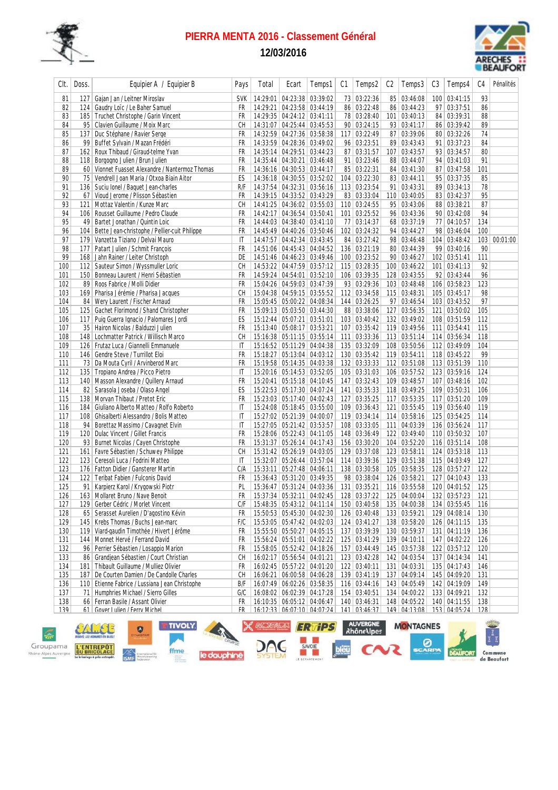

# **PIERRA MENTA 2016 - Classement Général**

**12/03/2016**



| Clt. | Doss.           | Equipier A / Equipier B                         | Pays         | Total | Ecart                                                    | Temps1 | C1 | Temps2                                                            | C <sub>2</sub> | Temps3                       | C3 | Temps4           | C <sub>4</sub> | Pénalités    |
|------|-----------------|-------------------------------------------------|--------------|-------|----------------------------------------------------------|--------|----|-------------------------------------------------------------------|----------------|------------------------------|----|------------------|----------------|--------------|
| 81   | 127             | Gajan Jan / Leitner Miroslav                    | <b>SVK</b>   |       | 14:29:01 04:23:38 03:39:02                               |        |    | 73 03:22:36                                                       |                | 85 03:46:08                  |    | 100 03:41:15     | 93             |              |
| 82   |                 | 124 Gaudry Loïc / Le Baher Samuel               | FR           |       | 14:29:21 04:23:58 03:44:19                               |        |    | 86 03:22:48                                                       |                | 86 03:44:23                  |    | 97 03:37:51      | 86             |              |
| 83   |                 | 185   Truchet Christophe / Garin Vincent        | FR           |       | 14:29:35 04:24:12 03:41:11                               |        |    | 78 03:28:40                                                       |                | 101 03:40:13                 |    | 84 03:39:31      | 88             |              |
| 84   |                 | 95   Clavien Guillaume / Moix Marc              | СH           |       | 14:31:07 04:25:44 03:45:53                               |        |    | 90 03:24:15                                                       |                | 93 03:41:17                  |    | 86 03:39:42      | 89             |              |
| 85   | 137             | Duc Stéphane / Ravier Serge                     | FR           |       | 14:32:59 04:27:36 03:58:38                               |        |    | 117 03:22:49                                                      |                | 87 03:39:06                  |    | 80 03:32:26      | 74             |              |
| 86   | 99              | Buffet Sylvain / Mazan Frédéri                  | FR           |       | 14:33:59 04:28:36 03:49:02                               |        |    | 96 03:23:51                                                       |                | 89 03:43:43                  |    | 91 03:37:23      | 84             |              |
| 87   | 162             | Roux Thibaud / Giraud-telme Yvan                | FR           |       | 14:35:14 04:29:51 03:44:23                               |        |    | 87 03:31:57                                                       |                | 107 03:43:57                 |    | 93 03:34:57      | 80             |              |
| 88   | 118             | Borgogno Julien / Brun Julien                   | FR           |       | 14:35:44 04:30:21 03:46:48                               |        |    | 91 03:23:46                                                       |                | 88 03:44:07                  |    | 94 03:41:03      | 91             |              |
| 89   |                 | 60 Vionnet Fuasset Alexandre / Nantermoz Thomas | FR           |       | 14:36:16 04:30:53 03:44:17                               |        |    | 85 03:22:31                                                       |                | 84 03:41:30                  |    | 87 03:47:58      | 101            |              |
| 90   | 75 <sup>1</sup> | Vendrell Joan Maria / Otxoa Biain Aitor         | ES           |       | 14:36:18 04:30:55 03:52:02                               |        |    | 104 03:22:30                                                      |                | 83 03:44:11                  |    | 95 03:37:35      | 85             |              |
| 91   |                 | 136   Suciu Ionel / Baquet Jean-charles         | R/F          |       | 14:37:54 04:32:31 03:56:16                               |        |    | 113 03:23:54                                                      |                | 91 03:43:31                  |    | 89 03:34:13      | 78             |              |
| 92   |                 | 67 Vioud Jerome / Plisson Sébastien             | FR           |       | 14:39:15 04:33:52 03:43:29                               |        |    | 83 03:33:04                                                       |                | 110 03:40:05                 |    | 83 03:42:37      | 95             |              |
| 93   | 121             | Mottaz Valentin / Kunze Marc                    | СH           |       | 14:41:25 04:36:02 03:55:03                               |        |    | 110 03:24:55                                                      |                | 95 03:43:06                  |    | 88 03:38:21      | 87             |              |
| 94   | 106             | Rousset Guillaume / Pedro Claude                | FR           |       | 14:42:17 04:36:54 03:50:41                               |        |    | 101 03:25:52                                                      |                | 96 03:43:36                  |    | 90 03:42:08      | 94             |              |
| 95   | 49              | Bartet Jonathan / Quintin Loic                  | FR           |       | 14:44:03 04:38:40 03:41:10                               |        |    | 77 03:14:37                                                       |                | 68 03:37:19                  |    | 77 04:10:57      | 134            |              |
| 96   | 104             | Bette Jean-christophe / Pellier-cuit Philippe   | FR           |       | 14:45:49 04:40:26 03:50:46                               |        |    | 102 03:24:32                                                      |                | 94 03:44:27                  |    | 98 03:46:04      | 100            |              |
| 97   |                 | 179 Vanzetta Tiziano / Delvai Mauro             | IT           |       | 14:47:57 04:42:34 03:43:45                               |        |    | 84 03:27:42                                                       |                | 98 03:46:48                  |    | 104 03:48:42     |                | 103 00:01:00 |
| 98   |                 | 177   Patart Julien / Schmit Francois           | FR           |       | 14:51:06 04:45:43 04:04:52                               |        |    | 136 03:21:19                                                      |                | 80 03:44:39                  |    | 99 03:40:16      | 90             |              |
| 99   |                 | 168 Jahn Rainer / Leiter Christoph              | DE           |       | 14:51:46 04:46:23 03:49:46                               |        |    | 100 03:23:52                                                      |                | 90 03:46:27                  |    | 102 03:51:41     | 111            |              |
|      |                 | 112 Sauteur Simon / Wyssmuller Loric            |              |       | 14:53:22 04:47:59 03:57:12                               |        |    | 115 03:28:35                                                      |                | 100 03:46:22                 |    | 101 03:41:13     | 92             |              |
| 100  | 150             |                                                 | CН<br>FR     |       |                                                          |        |    |                                                                   |                |                              |    | 92 03:43:44      | 96             |              |
| 101  |                 | Bonneau Laurent / Henri Sébastien               |              |       | 14:59:24 04:54:01 03:52:10<br>15:04:26 04:59:03 03:47:39 |        |    | 106 03:39:35                                                      |                | 128 03:43:55<br>103 03:48:48 |    |                  |                |              |
| 102  | 89              | Roos Fabrice / Molli Didier                     | FR           |       |                                                          |        |    | 93 03:29:36                                                       |                |                              |    | 106 03:58:23     | 123            |              |
| 103  |                 | 169   Pharisa Jérémie / Pharisa Jacques         | CH           |       | 15:04:38   04:59:15   03:55:52                           |        |    | 112 03:34:58                                                      |                | 115 03:48:31                 |    | 105 03:45:17     | 98             |              |
| 104  |                 | 84   Wery Laurent / Fischer Arnaud              | FR           |       | 15:05:45   05:00:22   04:08:34                           |        |    | 144 03:26:25                                                      |                | 97 03:46:54                  |    | 103 03:43:52     | 97             |              |
| 105  |                 | 125   Gachet Florimond / Shand Christopher      | FR           |       | 15:09:13 05:03:50 03:44:30                               |        |    | 88 03:38:06                                                       |                | 127 03:56:35                 |    | 121 03:50:02     | 105            |              |
| 106  |                 | 117 Puig Guerra Ignacio / Palomares Jordi       | ES           |       | 15:12:44 05:07:21 03:51:01                               |        |    | 103 03:40:42                                                      |                | 132 03:49:02                 |    | 108 03:51:59     | 112            |              |
| 107  |                 | 35   Hairon Nicolas / Balduzzi Julien           | FR           |       | 15:13:40 05:08:17 03:53:21                               |        |    | 107 03:35:42                                                      |                | 119 03:49:56                 |    | 111 03:54:41     | 115            |              |
| 108  | 148             | Lochmatter Patrick / Willisch Marco             | <b>CH</b>    |       | 15:16:38 05:11:15 03:55:14                               |        |    | 111 03:33:36                                                      |                | 113 03:51:14                 |    | 114 03:56:34     | 118            |              |
| 109  |                 | 126 Frutaz Luca / Giannelli Emmanuele           | IT           |       | 15:16:52 05:11:29 04:04:38                               |        |    | 135 03:32:09                                                      |                | 108 03:50:56                 |    | 112 03:49:09     | 104            |              |
| 110  |                 | 146   Gendre Steve / Turrillot Eloi             | FR           |       | 15:18:27   05:13:04   04:03:12                           |        |    | 130 03:35:42                                                      |                | 119 03:54:11                 |    | 118 03:45:22     | 99             |              |
| 111  |                 | 73 Da Mouta Cyril / Arvinberod Marc             | FR           |       | 15:19:58 05:14:35 04:03:38                               |        |    | 132 03:33:33                                                      |                | 112 03:51:08                 |    | 113 03:51:39     | 110            |              |
| 112  | 135             | Tropiano Andrea / Picco Pietro                  | IT           |       | 15:20:16   05:14:53   03:52:05                           |        |    | 105 03:31:03                                                      |                | 106 03:57:52                 |    | 123 03:59:16     | 124            |              |
| 113  |                 | 140   Masson Alexandre / Quillery Arnaud        | FR           |       | 15:20:41 05:15:18 04:10:45                               |        |    | 147 03:32:43                                                      |                | 109 03:48:57                 |    | 107 03:48:16     | 102            |              |
| 114  |                 | 82   Sarasola Joseba / Olaso Angel              | ES           |       | 15:22:53 05:17:30 04:07:24                               |        |    | 141 03:35:33                                                      |                | 118 03:49:25                 |    | 109 03:50:31     | 106            |              |
| 115  |                 | 138   Morvan Thibaut / Pretot Eric              | FR           |       | 15:23:03 05:17:40 04:02:43                               |        |    | 127 03:35:25                                                      |                | 117 03:53:35                 |    | 117 03:51:20     | 109            |              |
| 116  |                 | 184   Giuliano Alberto Matteo / Rolfo Roberto   | IT           |       | 15:24:08 05:18:45 03:55:00                               |        |    | 109 03:36:43                                                      |                | 121 03:55:45                 |    | 119 03:56:40     | 119            |              |
| 117  |                 | 108   Ghisalberti Alessandro / Bolis Matteo     | $\mathsf{I}$ |       | 15:27:02 05:21:39 04:00:07                               |        |    | 119 03:34:14                                                      |                | 114 03:58:16                 |    | 125 03:54:25     | 114            |              |
| 118  | 94              | Borettaz Massimo / Cavagnet Elvin               | IT           |       | 15:27:05 05:21:42 03:53:57                               |        |    | 108 03:33:05                                                      |                | 111 04:03:39                 |    | 136 03:56:24     | 117            |              |
| 119  |                 | 120   Dulac Vincent / Gillet Francis            | FR           |       | 15:28:06 05:22:43 04:11:05                               |        |    | 148 03:36:49                                                      |                | 122 03:49:40                 |    | 110 03:50:32     | 107            |              |
| 120  |                 | 93 Burnet Nicolas / Cayen Christophe            | FR           |       | 15:31:37 05:26:14 04:17:43                               |        |    | 156 03:30:20                                                      |                | 104 03:52:20                 |    | 116 03:51:14     | 108            |              |
| 121  |                 | 161   Favre Sébastien / Schuwey Philippe        | CН           |       | 15:31:42 05:26:19 04:03:05                               |        |    | 129 03:37:08                                                      |                | 123 03:58:11                 |    | 124 03:53:18     | 113            |              |
| 122  |                 | 123 Ceresoli Luca / Fodrini Matteo              | ΙT           |       | 15:32:07   05:26:44   03:57:04                           |        |    | 114 03:39:36                                                      |                | 129 03:51:38                 |    | 115 04:03:49     | 127            |              |
| 123  |                 | 176   Fatton Didier / Gansterer Martin          | C/A          |       | 15:33:11 05:27:48 04:06:11                               |        |    | 138 03:30:58                                                      |                | 105 03:58:35                 |    | 128 03:57:27     | 122            |              |
| 124  |                 | 122 Teribat Fabien / Fulconis David             | FR           |       | 15:36:43 05:31:20 03:49:35                               |        |    | 98 03:38:04                                                       |                | 126 03:58:21                 |    | 127 04:10:43     | 133            |              |
| 125  |                 | 91 Karpierz Karol / Krygowski Piotr             | PL           |       | 15:36:47 05:31:24 04:03:36                               |        |    | 131 03:35:21                                                      |                | 116 03:55:58                 |    | 120 04:01:52     | 125            |              |
| 126  |                 | 163 Mollaret Bruno / Nave Benoit                | <b>FR</b>    |       |                                                          |        |    | 15:37:34 05:32:11 04:02:45 128 03:37:22 125 04:00:04 132 03:57:23 |                |                              |    |                  | 121            |              |
| 127  |                 | 129 Gerber Cédric / Morlet Vincent              | C/F          |       | 15:48:35 05:43:12 04:11:14                               |        |    | 150 03:40:58                                                      |                | 135 04:00:38                 |    | 134 03:55:45     | 116            |              |
| 128  |                 | 65   Serasset Aurelien / D'agostino Kévin       | FR           |       | 15:50:53 05:45:30 04:02:30                               |        |    | 126 03:40:48                                                      |                | 133 03:59:21                 |    | 129 04:08:14     | 130            |              |
| 129  |                 | 145   Krebs Thomas / Buchs Jean-marc            | F/C          |       | 15:53:05 05:47:42 04:02:03                               |        |    | 124 03:41:27                                                      |                | 138 03:58:20                 |    | 126 04:11:15     | 135            |              |
| 130  |                 | 119 Viard-gaudin Timothée / Hivert Jérôme       | FR           |       |                                                          |        |    | 15:55:50 05:50:27 04:05:15 137 03:39:39                           |                | 130 03:59:37                 |    | 131 04:11:19     | 136            |              |
| 131  |                 | 144   Monnet Hervé / Ferrand David              | FR           |       | 15:56:24 05:51:01 04:02:22                               |        |    | 125 03:41:29                                                      |                | 139 04:10:11                 |    | 147 04:02:22     | 126            |              |
| 132  |                 | 96 Perrier Sébastien / Losappio Marion          | FR           |       | 15:58:05 05:52:42 04:18:26                               |        |    | 157 03:44:49                                                      |                | 145 03:57:38                 |    | 122 03:57:12     | 120            |              |
| 133  |                 | 86 Grandjean Sébastien / Court Christian        | СH           |       | 16:02:17 05:56:54 04:01:21                               |        |    | 123 03:42:28                                                      |                | 142 04:03:54                 |    | 137 04:14:34     | 141            |              |
| 134  |                 | 181   Thibault Guillaume / Mulliez Olivier      | FR           |       | 16:02:45 05:57:22 04:01:20                               |        |    | 122 03:40:11                                                      |                | 131 04:03:31                 |    | 135 04:17:43     | 146            |              |
| 135  |                 | 187   De Courten Damien / De Candolle Charles   | CН           |       | 16:06:21 06:00:58 04:06:28                               |        |    | 139 03:41:19                                                      |                | 137 04:09:14                 |    | 145 04:09:20     | 131            |              |
| 136  |                 | 110 Etienne Fabrice / Lussiana Jean Christophe  | B/F          |       | 16:07:49 06:02:26 03:58:35                               |        |    | 116 03:44:16                                                      |                | 143 04:05:49                 |    | 142 04:19:09     | 149            |              |
| 137  |                 | 71   Humphries Michael / Sierro Gilles          | G/C          |       | 16:08:02 06:02:39 04:17:28                               |        |    | 154 03:40:51                                                      |                | 134 04:00:22                 |    | 133 04:09:21     | 132            |              |
| 138  |                 | 66 Ferran Basile / Assant Olivier               | FR           |       | 16:10:35 06:05:12 04:06:47                               |        |    | 140 03:46:31                                                      |                | 148 04:05:22                 |    | 140 04:11:55     | 138            |              |
| 130  |                 | 61 Gover Julien / Ferry Michel                  | FR           |       | 16.12.23 06.07.10 04.07.24                               |        |    | $141$ $03.46.37$                                                  |                | 149 04.13.08                 |    | $153$ $04.05.24$ | 128            |              |

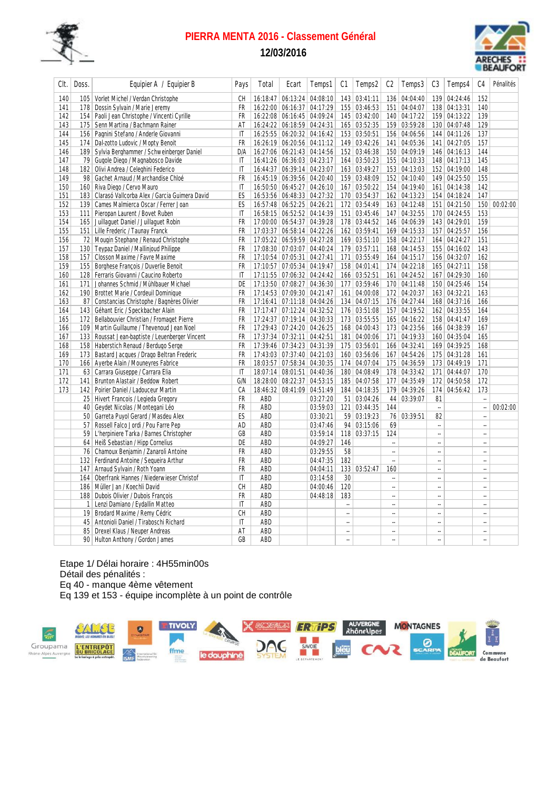

# **PIERRA MENTA 2016 - Classement Général**

**12/03/2016**



| Clt. | Doss.            | Equipier A / Equipier B                       | Pays         | Total | Ecart                          | Temps1   | C1                       | Temps2       | C <sub>2</sub>       | Temps3       | C3                       | Temps4       | C <sub>4</sub>           | Pénalités |
|------|------------------|-----------------------------------------------|--------------|-------|--------------------------------|----------|--------------------------|--------------|----------------------|--------------|--------------------------|--------------|--------------------------|-----------|
| 140  |                  | 105 Vorlet Michel / Verdan Christophe         | CН           |       | 16:18:47   06:13:24   04:08:10 |          |                          | 143 03:41:11 |                      | 136 04:04:40 |                          | 139 04:24:46 | 152                      |           |
| 141  | 178              | Dossin Sylvain / Marie Jeremy                 | FR           |       | 16:22:00 06:16:37 04:17:29     |          |                          | 155 03:46:53 |                      | 151 04:04:07 |                          | 138 04:13:31 | 140                      |           |
| 142  | 154              | Paoli Jean Christophe / Vincenti Cyrille      | <b>FR</b>    |       | 16:22:08 06:16:45 04:09:24     |          |                          | 145 03:42:00 |                      | 140 04:17:22 |                          | 159 04:13:22 | 139                      |           |
| 143  | 175              | Senn Martina / Bachmann Rainer                | ΑT           |       | 16:24:22 06:18:59 04:24:31     |          |                          | 165 03:52:35 |                      | 159 03:59:28 |                          | 130 04:07:48 | 129                      |           |
| 144  | 156              | Pagnini Stefano / Anderle Giovanni            | $\mathsf{I}$ |       | 16:25:55 06:20:32 04:16:42     |          |                          | 153 03:50:51 |                      | 156 04:06:56 |                          | 144 04:11:26 | 137                      |           |
| 145  | 174              | Dal-zotto Ludovic / Mopty Benoit              | FR           |       | 16:26:19 06:20:56 04:11:12     |          |                          | 149 03:42:26 |                      | 141 04:05:36 |                          | 141 04:27:05 | 157                      |           |
| 146  | 189              | Sylvia Berghammer / Schweinberger Daniel      | D/A          |       | 16:27:06 06:21:43 04:14:56     |          |                          | 152 03:46:38 |                      | 150 04:09:19 |                          | 146 04:16:13 | 144                      |           |
| 147  |                  | 79 Gugole Diego / Magnabosco Davide           | $\mathsf{I}$ |       | 16:41:26 06:36:03 04:23:17     |          |                          | 164 03:50:23 |                      | 155 04:10:33 |                          | 148 04:17:13 | 145                      |           |
| 148  |                  | 182   Olivi Andrea / Celeghini Federico       | IT           |       | 16:44:37 06:39:14 04:23:07     |          |                          | 163 03:49:27 |                      | 153 04:13:03 |                          | 152 04:19:00 | 148                      |           |
| 149  | 98               | Gachet Arnaud / Marchandise Chloé             | <b>FR</b>    |       | 16:45:19 06:39:56 04:20:40     |          |                          | 159 03:48:09 |                      | 152 04:10:40 |                          | 149 04:25:50 | 155                      |           |
| 150  | 160              | Riva Diego / Cervo Mauro                      | $\mathsf{I}$ |       | 16:50:50 06:45:27 04:26:10     |          |                          | 167 03:50:22 |                      | 154 04:19:40 |                          | 161 04:14:38 | 142                      |           |
| 151  | 183              | Clarasó Vallcorba Alex / Garcia Guimera David | ES           |       | 16:53:56 06:48:33 04:27:32     |          |                          | 170 03:54:37 |                      | 162 04:13:23 |                          | 154 04:18:24 | 147                      |           |
| 152  | 139 <sup>°</sup> | Cames Malmierca Oscar / Ferrer Joan           | ES           |       | 16:57:48 06:52:25 04:26:21     |          |                          | 172 03:54:49 |                      | 163 04:12:48 |                          | 151 04:21:50 | 150                      | 00:02:00  |
| 153  | 111              | Pieropan Laurent / Bovet Ruben                | $\mathsf{I}$ |       | 16:58:15 06:52:52 04:14:39     |          |                          | 151 03:45:46 |                      | 147 04:32:55 |                          | 170 04:24:55 | 153                      |           |
| 154  |                  | 165 Juillaguet Daniel / Juillaguet Robin      | <b>FR</b>    |       | 17:00:00 06:54:37 04:39:28     |          |                          | 178 03:44:52 |                      | 146 04:06:39 |                          | 143 04:29:01 | 159                      |           |
| 155  | 151              | Lille Frederic / Taunay Franck                | <b>FR</b>    |       | 17:03:37 06:58:14 04:22:26     |          |                          | 162 03:59:41 |                      | 169 04:15:33 |                          | 157 04:25:57 | 156                      |           |
| 156  | 72               | Mougin Stephane / Renaud Christophe           | FR           |       | 17:05:22 06:59:59 04:27:28     |          |                          | 169 03:51:10 |                      | 158 04:22:17 |                          | 164 04:24:27 | 151                      |           |
| 157  | 130              | Teypaz Daniel / Mallinjoud Philippe           | <b>FR</b>    |       | 17:08:30 07:03:07 04:40:24     |          |                          | 179 03:57:11 |                      | 168 04:14:53 |                          | 155 04:16:02 | 143                      |           |
| 158  |                  | 157 Closson Maxime / Favre Maxime             | FR           |       | 17:10:54 07:05:31 04:27:41     |          |                          | 171 03:55:49 |                      | 164 04:15:17 |                          | 156 04:32:07 | 162                      |           |
| 159  | 155              | Borghese François / Duverlie Benoit           | FR           |       | 17:10:57 07:05:34 04:19:47     |          |                          | 158 04:01:41 |                      | 174 04:22:18 |                          | 165 04:27:11 | 158                      |           |
| 160  |                  | 128 Ferraris Giovanni / Caucino Roberto       | $\mathsf{I}$ |       | 17:11:55 07:06:32 04:24:42     |          |                          | 166 03:52:51 |                      | 161 04:24:52 |                          | 167 04:29:30 | 160                      |           |
| 161  | 171              | Johannes Schmid / Mühlbauer Michael           | DE           |       | 17:13:50 07:08:27 04:36:30     |          |                          | 177 03:59:46 |                      | 170 04:11:48 |                          | 150 04:25:46 | 154                      |           |
| 162  |                  | 190 Brottet Marie / Cordeuil Dominique        | <b>FR</b>    |       | 17:14:53 07:09:30 04:21:47     |          |                          | 161 04:00:08 |                      | 172 04:20:37 |                          | 163 04:32:21 | 163                      |           |
| 163  |                  | 87 Constancias Christophe / Bagnères Olivier  | <b>FR</b>    |       | 17:16:41 07:11:18 04:04:26     |          |                          | 134 04:07:15 |                      | 176 04:27:44 |                          | 168 04:37:16 | 166                      |           |
| 164  |                  | 143 Géhant Eric / Speckbacher Alain           | <b>FR</b>    |       | 17:17:47 07:12:24 04:32:52     |          |                          | 176 03:51:08 |                      | 157 04:19:52 |                          | 162 04:33:55 | 164                      |           |
| 165  | 172              | Bellabouvier Christian / Fromaget Pierre      | <b>FR</b>    |       | 17:24:37 07:19:14 04:30:33     |          |                          | 173 03:55:55 |                      | 165 04:16:22 |                          | 158 04:41:47 | 169                      |           |
| 166  | 109              | Martin Guillaume / Thevenoud Jean Noel        | FR           |       | 17:29:43 07:24:20 04:26:25     |          |                          | 168 04:00:43 |                      | 173 04:23:56 |                          | 166 04:38:39 | 167                      |           |
| 167  | 133              | Roussat Jean-baptiste / Leuenberger Vincent   | <b>FR</b>    |       | 17:37:34 07:32:11 04:42:51     |          |                          | 181 04:00:06 |                      | 171 04:19:33 |                          | 160 04:35:04 | 165                      |           |
| 168  |                  | 158   Haberstich Renaud / Berdugo Serge       | FR           |       | 17:39:46 07:34:23 04:31:39     |          |                          | 175 03:56:01 |                      | 166 04:32:41 |                          | 169 04:39:25 | 168                      |           |
| 169  | 173              | Bastard Jacques / Drago Beltran Frederic      | <b>FR</b>    |       | 17:43:03 07:37:40 04:21:03     |          |                          | 160 03:56:06 |                      | 167 04:54:26 |                          | 175 04:31:28 | 161                      |           |
| 170  | 166              | Ayerbe Alain / Mouneyres Fabrice              | FR           |       | 18:03:57 07:58:34 04:30:35     |          |                          | 174 04:07:04 |                      | 175 04:36:59 |                          | 173 04:49:19 | 171                      |           |
| 171  |                  | 63 Carrara Giuseppe / Carrara Elia            | IT           |       | 18:07:14 08:01:51 04:40:36     |          |                          | 180 04:08:49 |                      | 178 04:33:42 |                          | 171 04:44:07 | 170                      |           |
| 172  | 141              | Brunton Alastair / Beddow Robert              | G/N          |       | 18:28:00 08:22:37 04:53:15     |          |                          | 185 04:07:58 |                      | 177 04:35:49 |                          | 172 04:50:58 | 172                      |           |
| 173  | 142              | Poirier Daniel / Ladouceur Martin             | СA           |       | 18:46:32 08:41:09 04:51:49     |          |                          | 184 04:18:35 |                      | 179 04:39:26 | 174                      | 04:56:42     | 173                      |           |
|      |                  | 25 Hivert Francois / Legieda Gregory          | <b>FR</b>    | ABD   |                                | 03:27:20 |                          | 51 03:04:26  |                      | 44 03:39:07  | 81                       |              | L.                       |           |
|      | 40               | Geydet Nicolas / Montegani Léo                | <b>FR</b>    | ABD   |                                | 03:59:03 |                          | 121 03:44:35 | 144                  |              | $\overline{\phantom{a}}$ |              | u,                       | 00:02:00  |
|      | 50 <sup>°</sup>  | Garreta Puyol Gerard / Masdeu Alex            | ES           | ABD   |                                | 03:30:21 |                          | 59 03:19:23  |                      | 76 03:39:51  | 82                       |              | $\overline{\phantom{a}}$ |           |
|      | 57               | Rossell Falco Jordi / Pou Farre Pep           | AD           | ABD   |                                | 03:47:46 |                          | 94 03:15:06  | 69                   |              | $\overline{\phantom{a}}$ |              | u,                       |           |
|      | 59               | L'herpiniere Tarka / Barnes Christopher       | GB           | ABD   |                                | 03:59:14 |                          | 118 03:37:15 | 124                  |              | $\overline{\phantom{a}}$ |              | $\overline{\phantom{a}}$ |           |
|      | 64               | Heiß Sebastian / Hipp Cornelius               | DE           | ABD   |                                | 04:09:27 | 146                      |              | $\ddot{\phantom{a}}$ |              | u,                       |              | $\overline{\phantom{a}}$ |           |
|      | 76               | Chamoux Benjamin / Zanaroli Antoine           | <b>FR</b>    | ABD   |                                | 03:29:55 | 58                       |              | $\ddot{\phantom{a}}$ |              | $\overline{\phantom{a}}$ |              | $\overline{\phantom{a}}$ |           |
|      | 132              | Ferdinand Antoine / Sequeira Arthur           | <b>FR</b>    | ABD   |                                | 04:47:35 | 182                      |              | L.                   |              | u,                       |              | $\overline{\phantom{a}}$ |           |
|      | 147              | Arnaud Sylvain / Roth Yoann                   | <b>FR</b>    | ABD   |                                | 04:04:11 |                          | 133 03:52:47 | 160                  |              | u,                       |              | u,                       |           |
|      | 164              | Oberfrank Hannes / Niederwieser Christof      | IT           | ABD   |                                | 03:14:58 | 30                       |              | $\overline{a}$       |              | $\sim$                   |              | u.                       |           |
|      | 186              | Müller Jan / Koechli David                    | <b>CH</b>    | ABD   |                                | 04:00:46 | 120                      |              | J.                   |              | u,                       |              | u,                       |           |
|      | 188              | Dubois Olivier / Dubois François              | <b>FR</b>    | ABD   |                                | 04:48:18 | 183                      |              | L,                   |              | u,                       |              |                          |           |
|      | 1                | Lenzi Damiano / Eydallin Matteo               | $\mathsf{I}$ | ABD   |                                |          | $\overline{\phantom{a}}$ |              | ä,                   |              | $\overline{\phantom{a}}$ |              | $\bar{a}$                |           |
|      | 19 <sup>°</sup>  | Brodard Maxime / Remy Cédric                  | <b>CH</b>    | ABD   |                                |          | ÷.                       |              |                      |              | u,                       |              | $\overline{\phantom{a}}$ |           |
|      | 45               | Antonioli Daniel / Tiraboschi Richard         | $\mathsf{I}$ | ABD   |                                |          | ÷.                       |              | ä,                   |              | $\ddot{\phantom{a}}$     |              | ÷.                       |           |
|      | 85               | Drexel Klaus / Neuper Andreas                 | AT           | ABD   |                                |          | ä,                       |              | ä,                   |              | $\overline{\phantom{a}}$ |              | $\overline{\phantom{a}}$ |           |
|      |                  | 90 Hulton Anthony / Gordon James              | GB           | ABD   |                                |          | $\mathbf{r}$             |              | L,                   |              | $\ddot{\phantom{a}}$     |              | $\overline{\phantom{a}}$ |           |

Etape 1/ Délai horaire : 4H55min00s Détail des pénalités : Eq 40 - manque 4ème vêtement Eq 139 et 153 - équipe incomplète à un point de contrôle